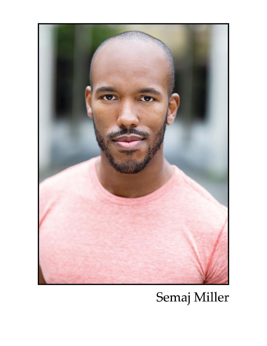

# Semaj Miller